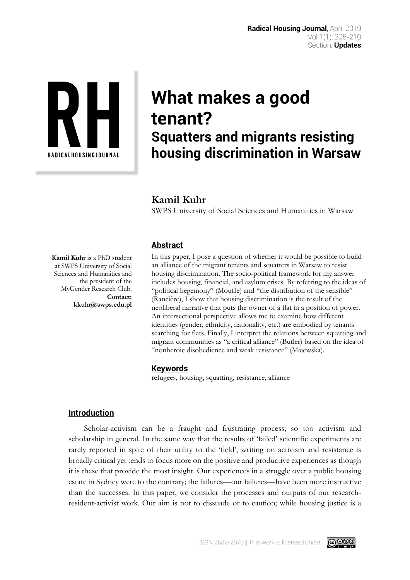

# **What makes a good tenant? Squatters and migrants resisting housing discrimination in Warsaw**

# **Kamil Kuhr**

SWPS University of Social Sciences and Humanities in Warsaw

# **Abstract**

In this paper, I pose a question of whether it would be possible to build an alliance of the migrant tenants and squatters in Warsaw to resist housing discrimination. The socio-political framework for my answer includes housing, financial, and asylum crises. By referring to the ideas of "political hegemony" (Mouffe) and "the distribution of the sensible" (Rancière), I show that housing discrimination is the result of the neoliberal narrative that puts the owner of a flat in a position of power. An intersectional perspective allows me to examine how different identities (gender, ethnicity, nationality, etc.) are embodied by tenants searching for flats. Finally, I interpret the relations between squatting and migrant communities as "a critical alliance" (Butler) based on the idea of "nonheroic disobedience and weak resistance" (Majewska).

# **Keywords**

refugees, housing, squatting, resistance, alliance

# **Introduction**

Scholar-activism can be a fraught and frustrating process; so too activism and scholarship in general. In the same way that the results of 'failed' scientific experiments are rarely reported in spite of their utility to the 'field', writing on activism and resistance is broadly critical yet tends to focus more on the positive and productive experiences as though it is these that provide the most insight. Our experiences in a struggle over a public housing estate in Sydney were to the contrary; the failures—our failures—have been more instructive than the successes. In this paper, we consider the processes and outputs of our researchresident-activist work. Our aim is not to dissuade or to caution; while housing justice is a

**Kamil Kuhr** is a PhD student at SWPS University of Social Sciences and Humanities and the president of the MyGender Research Club. **Contact: kkuhr@swps.edu.pl** 

ISSN 2632-2870 | This work is licensed under

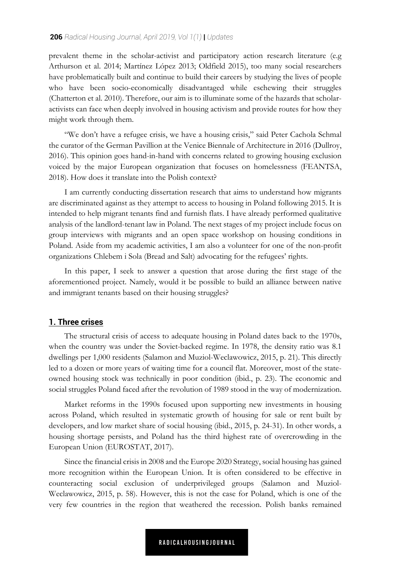#### **206** *Radical Housing Journal, April 2019, Vol 1(1)* **|** *Updates*

prevalent theme in the scholar-activist and participatory action research literature (e.g Arthurson et al. 2014; Martínez López 2013; Oldfield 2015), too many social researchers have problematically built and continue to build their careers by studying the lives of people who have been socio-economically disadvantaged while eschewing their struggles (Chatterton et al. 2010). Therefore, our aim is to illuminate some of the hazards that scholaractivists can face when deeply involved in housing activism and provide routes for how they might work through them.

"We don't have a refugee crisis, we have a housing crisis," said Peter Cachola Schmal the curator of the German Pavillion at the Venice Biennale of Architecture in 2016 (Dullroy, 2016). This opinion goes hand-in-hand with concerns related to growing housing exclusion voiced by the major European organization that focuses on homelessness (FEANTSA, 2018). How does it translate into the Polish context?

I am currently conducting dissertation research that aims to understand how migrants are discriminated against as they attempt to access to housing in Poland following 2015. It is intended to help migrant tenants find and furnish flats. I have already performed qualitative analysis of the landlord-tenant law in Poland. The next stages of my project include focus on group interviews with migrants and an open space workshop on housing conditions in Poland. Aside from my academic activities, I am also a volunteer for one of the non-profit organizations Chlebem i Sola (Bread and Salt) advocating for the refugees' rights.

In this paper, I seek to answer a question that arose during the first stage of the aforementioned project. Namely, would it be possible to build an alliance between native and immigrant tenants based on their housing struggles?

### **1. Three crises**

The structural crisis of access to adequate housing in Poland dates back to the 1970s, when the country was under the Soviet-backed regime. In 1978, the density ratio was 8.1 dwellings per 1,000 residents (Salamon and Muziol-Weclawowicz, 2015, p. 21). This directly led to a dozen or more years of waiting time for a council flat. Moreover, most of the stateowned housing stock was technically in poor condition (ibid., p. 23). The economic and social struggles Poland faced after the revolution of 1989 stood in the way of modernization.

Market reforms in the 1990s focused upon supporting new investments in housing across Poland, which resulted in systematic growth of housing for sale or rent built by developers, and low market share of social housing (ibid., 2015, p. 24-31). In other words, a housing shortage persists, and Poland has the third highest rate of overcrowding in the European Union (EUROSTAT, 2017).

Since the financial crisis in 2008 and the Europe 2020 Strategy, social housing has gained more recognition within the European Union. It is often considered to be effective in counteracting social exclusion of underprivileged groups (Salamon and Muziol-Weclawowicz, 2015, p. 58). However, this is not the case for Poland, which is one of the very few countries in the region that weathered the recession. Polish banks remained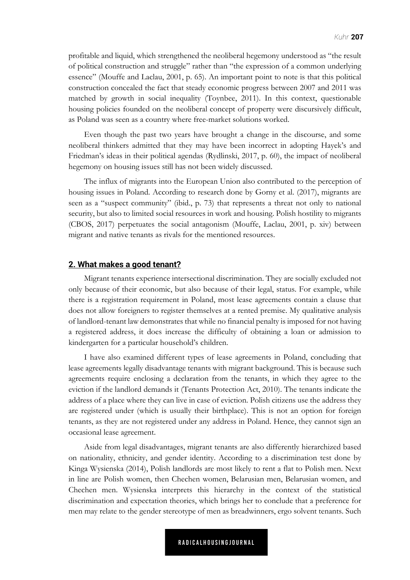profitable and liquid, which strengthened the neoliberal hegemony understood as "the result of political construction and struggle" rather than "the expression of a common underlying essence" (Mouffe and Laclau, 2001, p. 65). An important point to note is that this political construction concealed the fact that steady economic progress between 2007 and 2011 was matched by growth in social inequality (Toynbee, 2011). In this context, questionable housing policies founded on the neoliberal concept of property were discursively difficult, as Poland was seen as a country where free-market solutions worked.

Even though the past two years have brought a change in the discourse, and some neoliberal thinkers admitted that they may have been incorrect in adopting Hayek's and Friedman's ideas in their political agendas (Rydlinski, 2017, p. 60), the impact of neoliberal hegemony on housing issues still has not been widely discussed.

The influx of migrants into the European Union also contributed to the perception of housing issues in Poland. According to research done by Gorny et al. (2017), migrants are seen as a "suspect community" (ibid., p. 73) that represents a threat not only to national security, but also to limited social resources in work and housing. Polish hostility to migrants (CBOS, 2017) perpetuates the social antagonism (Mouffe, Laclau, 2001, p. xiv) between migrant and native tenants as rivals for the mentioned resources.

#### **2. What makes a good tenant?**

Migrant tenants experience intersectional discrimination. They are socially excluded not only because of their economic, but also because of their legal, status. For example, while there is a registration requirement in Poland, most lease agreements contain a clause that does not allow foreigners to register themselves at a rented premise. My qualitative analysis of landlord-tenant law demonstrates that while no financial penalty is imposed for not having a registered address, it does increase the difficulty of obtaining a loan or admission to kindergarten for a particular household's children.

I have also examined different types of lease agreements in Poland, concluding that lease agreements legally disadvantage tenants with migrant background. This is because such agreements require enclosing a declaration from the tenants, in which they agree to the eviction if the landlord demands it (Tenants Protection Act, 2010). The tenants indicate the address of a place where they can live in case of eviction. Polish citizens use the address they are registered under (which is usually their birthplace). This is not an option for foreign tenants, as they are not registered under any address in Poland. Hence, they cannot sign an occasional lease agreement.

Aside from legal disadvantages, migrant tenants are also differently hierarchized based on nationality, ethnicity, and gender identity. According to a discrimination test done by Kinga Wysienska (2014), Polish landlords are most likely to rent a flat to Polish men. Next in line are Polish women, then Chechen women, Belarusian men, Belarusian women, and Chechen men. Wysienska interprets this hierarchy in the context of the statistical discrimination and expectation theories, which brings her to conclude that a preference for men may relate to the gender stereotype of men as breadwinners, ergo solvent tenants. Such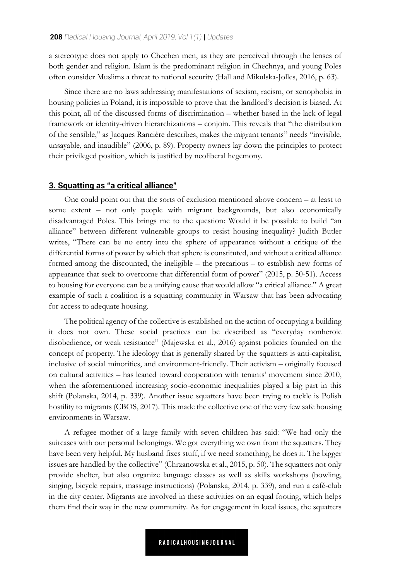a stereotype does not apply to Chechen men, as they are perceived through the lenses of both gender and religion. Islam is the predominant religion in Chechnya, and young Poles often consider Muslims a threat to national security (Hall and Mikulska-Jolles, 2016, p. 63).

Since there are no laws addressing manifestations of sexism, racism, or xenophobia in housing policies in Poland, it is impossible to prove that the landlord's decision is biased. At this point, all of the discussed forms of discrimination – whether based in the lack of legal framework or identity-driven hierarchizations – conjoin. This reveals that "the distribution of the sensible," as Jacques Rancière describes, makes the migrant tenants" needs "invisible, unsayable, and inaudible" (2006, p. 89). Property owners lay down the principles to protect their privileged position, which is justified by neoliberal hegemony.

#### **3. Squatting as "a critical alliance"**

One could point out that the sorts of exclusion mentioned above concern – at least to some extent – not only people with migrant backgrounds, but also economically disadvantaged Poles. This brings me to the question: Would it be possible to build "an alliance" between different vulnerable groups to resist housing inequality? Judith Butler writes, "There can be no entry into the sphere of appearance without a critique of the differential forms of power by which that sphere is constituted, and without a critical alliance formed among the discounted, the ineligible – the precarious – to establish new forms of appearance that seek to overcome that differential form of power" (2015, p. 50-51). Access to housing for everyone can be a unifying cause that would allow "a critical alliance." A great example of such a coalition is a squatting community in Warsaw that has been advocating for access to adequate housing.

The political agency of the collective is established on the action of occupying a building it does not own. These social practices can be described as "everyday nonheroic disobedience, or weak resistance" (Majewska et al., 2016) against policies founded on the concept of property. The ideology that is generally shared by the squatters is anti-capitalist, inclusive of social minorities, and environment-friendly. Their activism – originally focused on cultural activities – has leaned toward cooperation with tenants' movement since 2010, when the aforementioned increasing socio-economic inequalities played a big part in this shift (Polanska, 2014, p. 339). Another issue squatters have been trying to tackle is Polish hostility to migrants (CBOS, 2017). This made the collective one of the very few safe housing environments in Warsaw.

A refugee mother of a large family with seven children has said: "We had only the suitcases with our personal belongings. We got everything we own from the squatters. They have been very helpful. My husband fixes stuff, if we need something, he does it. The bigger issues are handled by the collective" (Chrzanowska et al., 2015, p. 50). The squatters not only provide shelter, but also organize language classes as well as skills workshops (bowling, singing, bicycle repairs, massage instructions) (Polanska, 2014, p. 339), and run a café-club in the city center. Migrants are involved in these activities on an equal footing, which helps them find their way in the new community. As for engagement in local issues, the squatters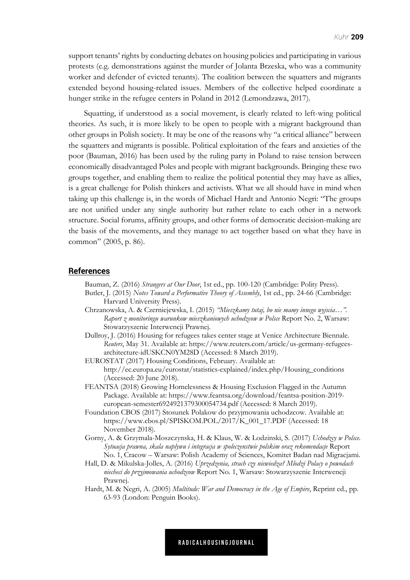support tenants' rights by conducting debates on housing policies and participating in various protests (e.g. demonstrations against the murder of Jolanta Brzeska, who was a community worker and defender of evicted tenants). The coalition between the squatters and migrants extended beyond housing-related issues. Members of the collective helped coordinate a hunger strike in the refugee centers in Poland in 2012 (Lemondzawa, 2017).

Squatting, if understood as a social movement, is clearly related to left-wing political theories. As such, it is more likely to be open to people with a migrant background than other groups in Polish society. It may be one of the reasons why "a critical alliance" between the squatters and migrants is possible. Political exploitation of the fears and anxieties of the poor (Bauman, 2016) has been used by the ruling party in Poland to raise tension between economically disadvantaged Poles and people with migrant backgrounds. Bringing these two groups together, and enabling them to realize the political potential they may have as allies, is a great challenge for Polish thinkers and activists. What we all should have in mind when taking up this challenge is, in the words of Michael Hardt and Antonio Negri: "The groups are not unified under any single authority but rather relate to each other in a network structure. Social forums, affinity groups, and other forms of democratic decision-making are the basis of the movements, and they manage to act together based on what they have in common" (2005, p. 86).

#### **References**

Bauman, Z. (2016) *Strangers at Our Door*, 1st ed., pp. 100-120 (Cambridge: Polity Press).

- Butler, J. (2015) *Notes Toward a Performative Theory of Assembly*, 1st ed., pp. 24-66 (Cambridge: Harvard University Press).
- Chrzanowska, A. & Czerniejewska, I. (2015) *"Mieszkamy tutaj, bo nie mamy innego wyjscia…". Raport z monitoringu warunkow mieszkaniowych uchodzcow w Polsce* Report No. 2, Warsaw: Stowarzyszenie Interwencji Prawnej.
- Dullroy, J. (2016) Housing for refugees takes center stage at Venice Architecture Biennale. *Reuters*, May 31. Available at: https://www.reuters.com/article/us-germany-refugeesarchitecture-idUSKCN0YM28D (Accessed: 8 March 2019).
- EUROSTAT (2017) Housing Conditions, February. Available at: http://ec.europa.eu/eurostat/statistics-explained/index.php/Housing\_conditions (Accessed: 20 June 2018).
- FEANTSA (2018) Growing Homelessness & Housing Exclusion Flagged in the Autumn Package. Available at: https://www.feantsa.org/download/feantsa-position-2019 european-semester6924921379300054734.pdf (Accessed: 8 March 2019).
- Foundation CBOS (2017) Stosunek Polakow do przyjmowania uchodzcow. Available at: https://www.cbos.pl/SPISKOM.POL/2017/K\_001\_17.PDF (Accessed: 18 November 2018).
- Gorny, A. & Grzymala-Moszczynska, H. & Klaus, W. & Lodzinski, S. (2017) *Uchodzcy w Polsce. Sytuacja prawna, skala naplywu i integracja w spoleczenstwie polskim oraz rekomendacje* Report No. 1, Cracow – Warsaw: Polish Academy of Sciences, Komitet Badan nad Migracjami.
- Hall, D. & Mikulska-Jolles, A. (2016) *Uprzedzenia, strach czy niewiedza? Mlodzi Polacy o powodach niecheci do przyjmowania uchodzcow* Report No. 1, Warsaw: Stowarzyszenie Interwencji Prawnej.
- Hardt, M. & Negri, A. (2005) *Multitude: War and Democracy in the Age of Empire*, Reprint ed., pp. 63-93 (London: Penguin Books).